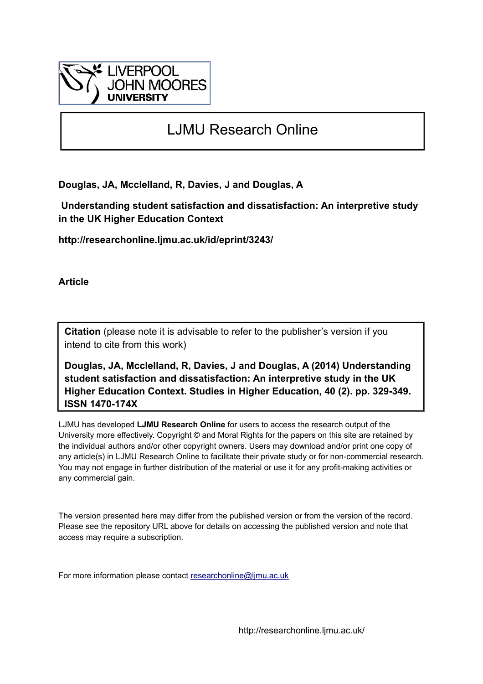

# LJMU Research Online

**Douglas, JA, Mcclelland, R, Davies, J and Douglas, A**

 **Understanding student satisfaction and dissatisfaction: An interpretive study in the UK Higher Education Context**

**http://researchonline.ljmu.ac.uk/id/eprint/3243/**

**Article**

**Citation** (please note it is advisable to refer to the publisher's version if you intend to cite from this work)

**Douglas, JA, Mcclelland, R, Davies, J and Douglas, A (2014) Understanding student satisfaction and dissatisfaction: An interpretive study in the UK Higher Education Context. Studies in Higher Education, 40 (2). pp. 329-349. ISSN 1470-174X** 

LJMU has developed **[LJMU Research Online](http://researchonline.ljmu.ac.uk/)** for users to access the research output of the University more effectively. Copyright © and Moral Rights for the papers on this site are retained by the individual authors and/or other copyright owners. Users may download and/or print one copy of any article(s) in LJMU Research Online to facilitate their private study or for non-commercial research. You may not engage in further distribution of the material or use it for any profit-making activities or any commercial gain.

The version presented here may differ from the published version or from the version of the record. Please see the repository URL above for details on accessing the published version and note that access may require a subscription.

For more information please contact [researchonline@ljmu.ac.uk](mailto:researchonline@ljmu.ac.uk)

http://researchonline.ljmu.ac.uk/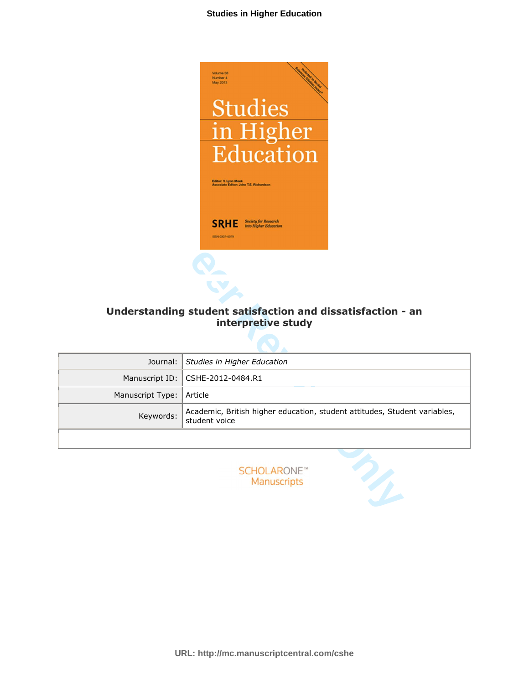

# **Understanding student satisfaction and dissatisfaction - an interpretive study**

|                  | Editor: V. Lynn Meek<br>Associate Editor: John T.E. Richardson<br>Society for Research<br><b>SRHE</b><br>into Higher Education<br>ISSN 0307-5079 |  |
|------------------|--------------------------------------------------------------------------------------------------------------------------------------------------|--|
|                  | Understanding student satisfaction and dissatisfaction - an<br>interpretive study                                                                |  |
| Journal:         | Studies in Higher Education                                                                                                                      |  |
| Manuscript ID:   | CSHE-2012-0484.R1                                                                                                                                |  |
| Manuscript Type: | Article                                                                                                                                          |  |
| Keywords:        | Academic, British higher education, student attitudes, Student variables,<br>student voice                                                       |  |
|                  |                                                                                                                                                  |  |
|                  | <b>SCHOLARONE</b> <sup>®</sup><br>Manuscripts                                                                                                    |  |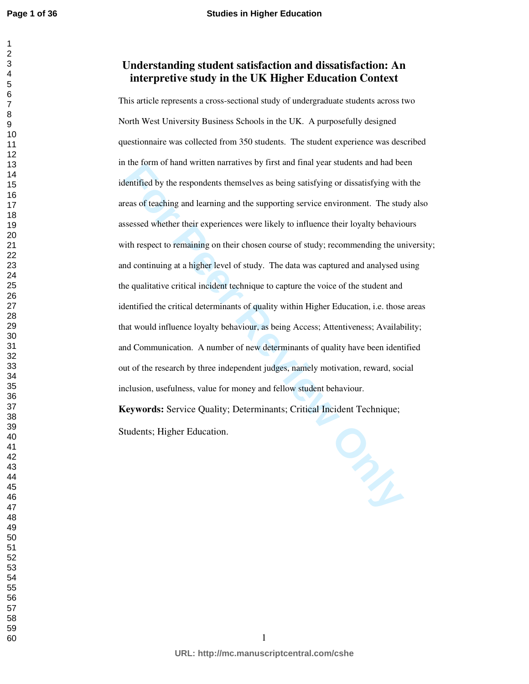# **Understanding student satisfaction and dissatisfaction: An interpretive study in the UK Higher Education Context**

The fourth of hand winter narratives by first and margea students and native and the electrified by the respondents themselves as being satisfying or dissatisfying with east of teaching and learning and the supporting serv This article represents a cross-sectional study of undergraduate students across two North West University Business Schools in the UK. A purposefully designed questionnaire was collected from 350 students. The student experience was described in the form of hand written narratives by first and final year students and had been identified by the respondents themselves as being satisfying or dissatisfying with the areas of teaching and learning and the supporting service environment. The study also assessed whether their experiences were likely to influence their loyalty behaviours with respect to remaining on their chosen course of study; recommending the university; and continuing at a higher level of study. The data was captured and analysed using the qualitative critical incident technique to capture the voice of the student and identified the critical determinants of quality within Higher Education, i.e. those areas that would influence loyalty behaviour, as being Access; Attentiveness; Availability; and Communication. A number of new determinants of quality have been identified out of the research by three independent judges, namely motivation, reward, social inclusion, usefulness, value for money and fellow student behaviour.

**Keywords:** Service Quality; Determinants; Critical Incident Technique; Students; Higher Education.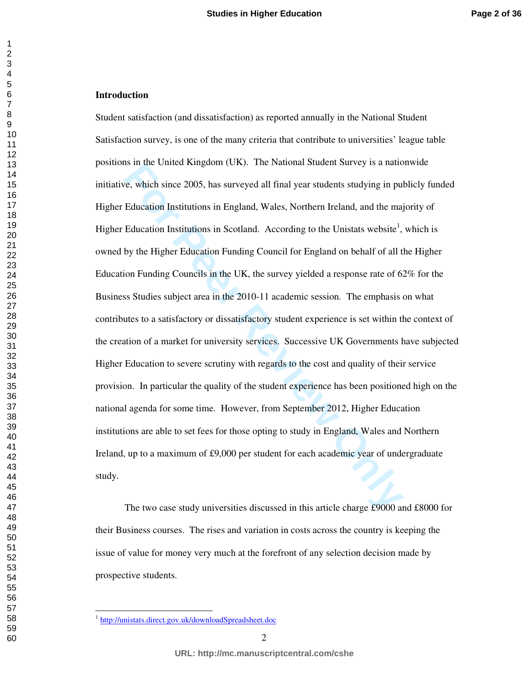#### **Introduction**

For the base of the student state of the state of the two case study in publishers.<br> **For Peer Review ONLY Alter Students in publishers** in publishers which since 2005, has surveyed all final year students studying in pul<br> Student satisfaction (and dissatisfaction) as reported annually in the National Student Satisfaction survey, is one of the many criteria that contribute to universities' league table positions in the United Kingdom (UK). The National Student Survey is a nationwide initiative, which since 2005, has surveyed all final year students studying in publicly funded Higher Education Institutions in England, Wales, Northern Ireland, and the majority of Higher Education Institutions in Scotland. According to the Unistats website<sup>1</sup>, which is owned by the Higher Education Funding Council for England on behalf of all the Higher Education Funding Councils in the UK, the survey yielded a response rate of 62% for the Business Studies subject area in the 2010-11 academic session. The emphasis on what contributes to a satisfactory or dissatisfactory student experience is set within the context of the creation of a market for university services. Successive UK Governments have subjected Higher Education to severe scrutiny with regards to the cost and quality of their service provision. In particular the quality of the student experience has been positioned high on the national agenda for some time. However, from September 2012, Higher Education institutions are able to set fees for those opting to study in England, Wales and Northern Ireland, up to a maximum of £9,000 per student for each academic year of undergraduate study.

The two case study universities discussed in this article charge £9000 and £8000 for their Business courses. The rises and variation in costs across the country is keeping the issue of value for money very much at the forefront of any selection decision made by prospective students.

-

<sup>&</sup>lt;sup>1</sup> http://unistats.direct.gov.uk/downloadSpreadsheet.doc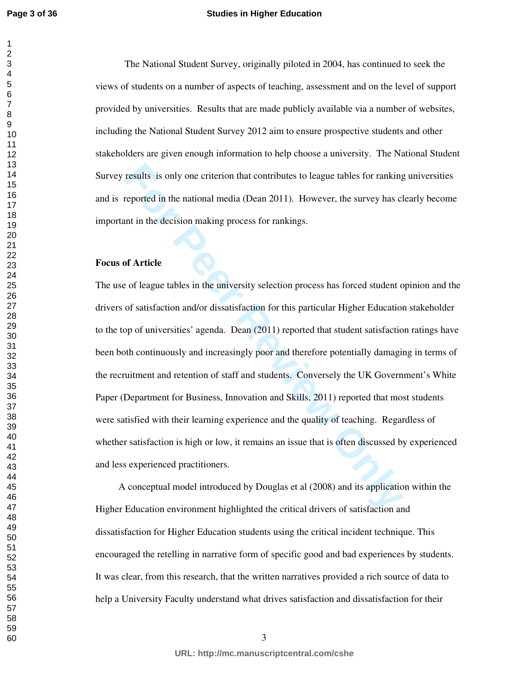#### **Studies in Higher Education**

The National Student Survey, originally piloted in 2004, has continued to seek the views of students on a number of aspects of teaching, assessment and on the level of support provided by universities. Results that are made publicly available via a number of websites, including the National Student Survey 2012 aim to ensure prospective students and other stakeholders are given enough information to help choose a university. The National Student Survey results is only one criterion that contributes to league tables for ranking universities and is reported in the national media (Dean 2011). However, the survey has clearly become important in the decision making process for rankings.

## **Focus of Article**

results is only one criterion that contributes to league tables for ranking<br>reported in the national media (Dean 2011). However, the survey has cl<br>and the the national media (Dean 2011). However, the survey has cl<br>and the The use of league tables in the university selection process has forced student opinion and the drivers of satisfaction and/or dissatisfaction for this particular Higher Education stakeholder to the top of universities' agenda. Dean (2011) reported that student satisfaction ratings have been both continuously and increasingly poor and therefore potentially damaging in terms of the recruitment and retention of staff and students. Conversely the UK Government's White Paper (Department for Business, Innovation and Skills, 2011) reported that most students were satisfied with their learning experience and the quality of teaching. Regardless of whether satisfaction is high or low, it remains an issue that is often discussed by experienced and less experienced practitioners.

A conceptual model introduced by Douglas et al (2008) and its application within the Higher Education environment highlighted the critical drivers of satisfaction and dissatisfaction for Higher Education students using the critical incident technique. This encouraged the retelling in narrative form of specific good and bad experiences by students. It was clear, from this research, that the written narratives provided a rich source of data to help a University Faculty understand what drives satisfaction and dissatisfaction for their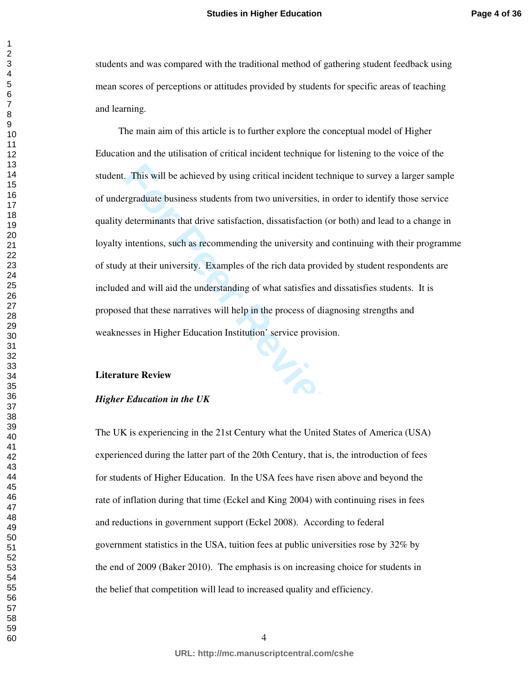students and was compared with the traditional method of gathering student feedback using mean scores of perceptions or attitudes provided by students for specific areas of teaching and learning.

This will be achieved by using critical incident technique to survey a largraduate business students from two universities, in order to identify the determinants that drive satisfaction, dissatisfaction (or both) and lead The main aim of this article is to further explore the conceptual model of Higher Education and the utilisation of critical incident technique for listening to the voice of the student. This will be achieved by using critical incident technique to survey a larger sample of undergraduate business students from two universities, in order to identify those service quality determinants that drive satisfaction, dissatisfaction (or both) and lead to a change in loyalty intentions, such as recommending the university and continuing with their programme of study at their university. Examples of the rich data provided by student respondents are included and will aid the understanding of what satisfies and dissatisfies students. It is proposed that these narratives will help in the process of diagnosing strengths and weaknesses in Higher Education Institution' service provision.

#### **Literature Review**

#### *Higher Education in the UK*

The UK is experiencing in the 21st Century what the United States of America (USA) experienced during the latter part of the 20th Century, that is, the introduction of fees for students of Higher Education. In the USA fees have risen above and beyond the rate of inflation during that time (Eckel and King 2004) with continuing rises in fees and reductions in government support (Eckel 2008). According to federal government statistics in the USA, tuition fees at public universities rose by 32% by the end of 2009 (Baker 2010). The emphasis is on increasing choice for students in the belief that competition will lead to increased quality and efficiency.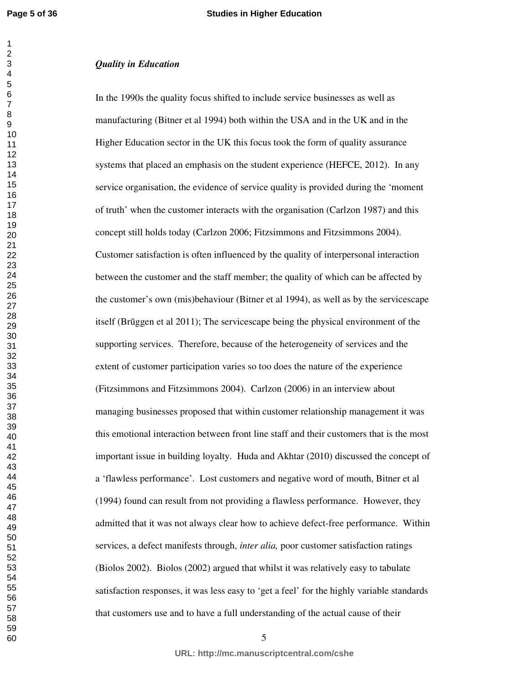## *Quality in Education*

s that placed an emphasis on the student experience (HEFCE, 2012). In organisation, the evidence of service quality is provided during the 'mo' when the customer interacts with the organisation (Carlzon 1987) and still hol In the 1990s the quality focus shifted to include service businesses as well as manufacturing (Bitner et al 1994) both within the USA and in the UK and in the Higher Education sector in the UK this focus took the form of quality assurance systems that placed an emphasis on the student experience (HEFCE, 2012). In any service organisation, the evidence of service quality is provided during the 'moment of truth' when the customer interacts with the organisation (Carlzon 1987) and this concept still holds today (Carlzon 2006; Fitzsimmons and Fitzsimmons 2004). Customer satisfaction is often influenced by the quality of interpersonal interaction between the customer and the staff member; the quality of which can be affected by the customer's own (mis)behaviour (Bitner et al 1994), as well as by the servicescape itself (Brūggen et al 2011); The servicescape being the physical environment of the supporting services. Therefore, because of the heterogeneity of services and the extent of customer participation varies so too does the nature of the experience (Fitzsimmons and Fitzsimmons 2004). Carlzon (2006) in an interview about managing businesses proposed that within customer relationship management it was this emotional interaction between front line staff and their customers that is the most important issue in building loyalty. Huda and Akhtar (2010) discussed the concept of a 'flawless performance'. Lost customers and negative word of mouth, Bitner et al (1994) found can result from not providing a flawless performance. However, they admitted that it was not always clear how to achieve defect-free performance. Within services, a defect manifests through, *inter alia,* poor customer satisfaction ratings (Biolos 2002). Biolos (2002) argued that whilst it was relatively easy to tabulate satisfaction responses, it was less easy to 'get a feel' for the highly variable standards that customers use and to have a full understanding of the actual cause of their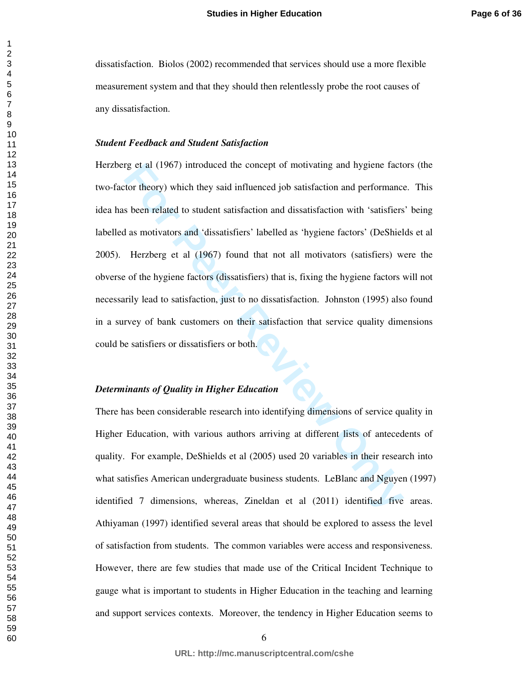dissatisfaction. Biolos (2002) recommended that services should use a more flexible measurement system and that they should then relentlessly probe the root causes of any dissatisfaction.

#### *Student Feedback and Student Satisfaction*

rg et al (1967) introduced the concept of motivating and hygiene fact<br>tor theory) which they said influenced job satisfaction and performance<br>s been related to student satisfaction and dissatisfaction with 'satisfiers<br>d as Herzberg et al (1967) introduced the concept of motivating and hygiene factors (the two-factor theory) which they said influenced job satisfaction and performance. This idea has been related to student satisfaction and dissatisfaction with 'satisfiers' being labelled as motivators and 'dissatisfiers' labelled as 'hygiene factors' (DeShields et al 2005). Herzberg et al (1967) found that not all motivators (satisfiers) were the obverse of the hygiene factors (dissatisfiers) that is, fixing the hygiene factors will not necessarily lead to satisfaction, just to no dissatisfaction. Johnston (1995) also found in a survey of bank customers on their satisfaction that service quality dimensions could be satisfiers or dissatisfiers or both.

## *Determinants of Quality in Higher Education*

There has been considerable research into identifying dimensions of service quality in Higher Education, with various authors arriving at different lists of antecedents of quality. For example, DeShields et al (2005) used 20 variables in their research into what satisfies American undergraduate business students. LeBlanc and Nguyen (1997) identified 7 dimensions, whereas, Zineldan et al (2011) identified five areas. Athiyaman (1997) identified several areas that should be explored to assess the level of satisfaction from students. The common variables were access and responsiveness. However, there are few studies that made use of the Critical Incident Technique to gauge what is important to students in Higher Education in the teaching and learning and support services contexts. Moreover, the tendency in Higher Education seems to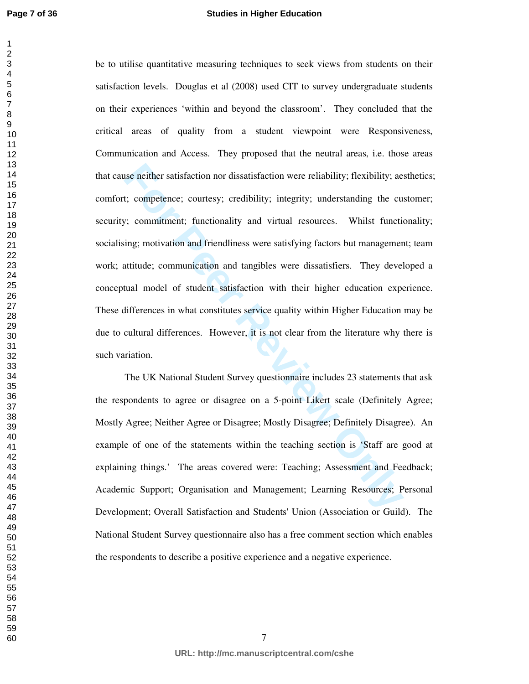#### **Studies in Higher Education**

isterian mordissatisfaction were reliability; flexibility; aet; competence; courtesy; credibility; integrity; understanding the custic communitient; functionality and virtual resources. Whilst functioning; motivation and f be to utilise quantitative measuring techniques to seek views from students on their satisfaction levels. Douglas et al (2008) used CIT to survey undergraduate students on their experiences 'within and beyond the classroom'. They concluded that the critical areas of quality from a student viewpoint were Responsiveness, Communication and Access. They proposed that the neutral areas, i.e. those areas that cause neither satisfaction nor dissatisfaction were reliability; flexibility; aesthetics; comfort; competence; courtesy; credibility; integrity; understanding the customer; security; commitment; functionality and virtual resources. Whilst functionality; socialising; motivation and friendliness were satisfying factors but management; team work; attitude; communication and tangibles were dissatisfiers. They developed a conceptual model of student satisfaction with their higher education experience. These differences in what constitutes service quality within Higher Education may be due to cultural differences. However, it is not clear from the literature why there is such variation.

The UK National Student Survey questionnaire includes 23 statements that ask the respondents to agree or disagree on a 5-point Likert scale (Definitely Agree; Mostly Agree; Neither Agree or Disagree; Mostly Disagree; Definitely Disagree). An example of one of the statements within the teaching section is 'Staff are good at explaining things.' The areas covered were: Teaching; Assessment and Feedback; Academic Support; Organisation and Management; Learning Resources; Personal Development; Overall Satisfaction and Students' Union (Association or Guild). The National Student Survey questionnaire also has a free comment section which enables the respondents to describe a positive experience and a negative experience.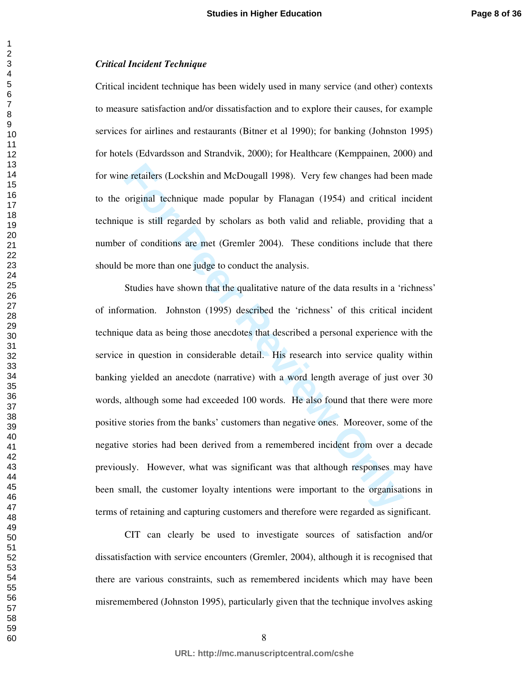#### *Critical Incident Technique*

Critical incident technique has been widely used in many service (and other) contexts to measure satisfaction and/or dissatisfaction and to explore their causes, for example services for airlines and restaurants (Bitner et al 1990); for banking (Johnston 1995) for hotels (Edvardsson and Strandvik, 2000); for Healthcare (Kemppainen, 2000) and for wine retailers (Lockshin and McDougall 1998). Very few changes had been made to the original technique made popular by Flanagan (1954) and critical incident technique is still regarded by scholars as both valid and reliable, providing that a number of conditions are met (Gremler 2004). These conditions include that there should be more than one judge to conduct the analysis.

is e retailers (Lockshin and McDougall 1998). Very few changes had bee<br>original technique made popular by Flanagan (1954) and critical is<br>ue is still regarded by scholars as both valid and reliable, providing<br>or of conditi Studies have shown that the qualitative nature of the data results in a 'richness' of information. Johnston (1995) described the 'richness' of this critical incident technique data as being those anecdotes that described a personal experience with the service in question in considerable detail. His research into service quality within banking yielded an anecdote (narrative) with a word length average of just over 30 words, although some had exceeded 100 words. He also found that there were more positive stories from the banks' customers than negative ones. Moreover, some of the negative stories had been derived from a remembered incident from over a decade previously. However, what was significant was that although responses may have been small, the customer loyalty intentions were important to the organisations in terms of retaining and capturing customers and therefore were regarded as significant.

CIT can clearly be used to investigate sources of satisfaction and/or dissatisfaction with service encounters (Gremler, 2004), although it is recognised that there are various constraints, such as remembered incidents which may have been misremembered (Johnston 1995), particularly given that the technique involves asking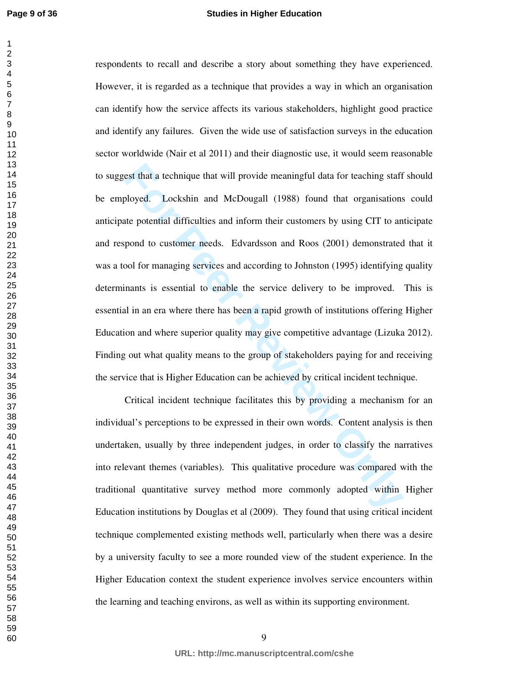#### **Studies in Higher Education**

est that a technique that will provide meaningful data for teaching staff<br>bloyed. Lockshin and McDougall (1988) found that organisations<br>te potential difficulties and inform their customers by using CIT to an<br>spond to cust respondents to recall and describe a story about something they have experienced. However, it is regarded as a technique that provides a way in which an organisation can identify how the service affects its various stakeholders, highlight good practice and identify any failures. Given the wide use of satisfaction surveys in the education sector worldwide (Nair et al 2011) and their diagnostic use, it would seem reasonable to suggest that a technique that will provide meaningful data for teaching staff should be employed. Lockshin and McDougall (1988) found that organisations could anticipate potential difficulties and inform their customers by using CIT to anticipate and respond to customer needs. Edvardsson and Roos (2001) demonstrated that it was a tool for managing services and according to Johnston (1995) identifying quality determinants is essential to enable the service delivery to be improved. This is essential in an era where there has been a rapid growth of institutions offering Higher Education and where superior quality may give competitive advantage (Lizuka 2012). Finding out what quality means to the group of stakeholders paying for and receiving the service that is Higher Education can be achieved by critical incident technique.

Critical incident technique facilitates this by providing a mechanism for an individual's perceptions to be expressed in their own words. Content analysis is then undertaken, usually by three independent judges, in order to classify the narratives into relevant themes (variables). This qualitative procedure was compared with the traditional quantitative survey method more commonly adopted within Higher Education institutions by Douglas et al (2009). They found that using critical incident technique complemented existing methods well, particularly when there was a desire by a university faculty to see a more rounded view of the student experience. In the Higher Education context the student experience involves service encounters within the learning and teaching environs, as well as within its supporting environment.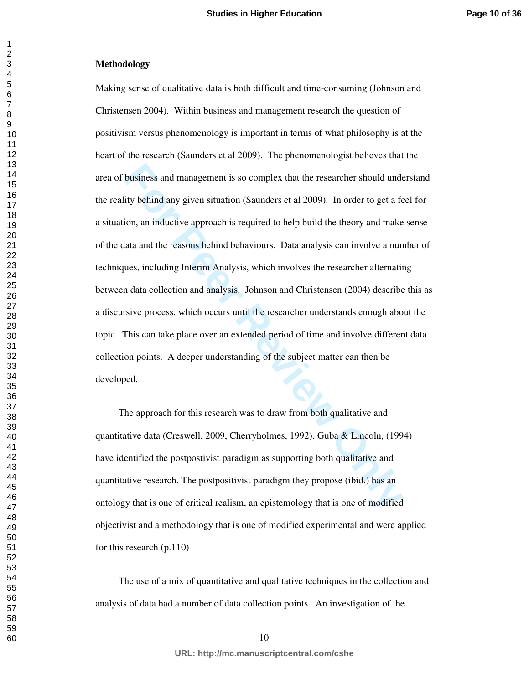#### **Methodology**

business and management is so complex that the researcher should under<br>ity behind any given situation (Saunders et al 2009). In order to get a fe<br>ion, an inductive approach is required to help build the theory and make<br>lat Making sense of qualitative data is both difficult and time-consuming (Johnson and Christensen 2004). Within business and management research the question of positivism versus phenomenology is important in terms of what philosophy is at the heart of the research (Saunders et al 2009). The phenomenologist believes that the area of business and management is so complex that the researcher should understand the reality behind any given situation (Saunders et al 2009). In order to get a feel for a situation, an inductive approach is required to help build the theory and make sense of the data and the reasons behind behaviours. Data analysis can involve a number of techniques, including Interim Analysis, which involves the researcher alternating between data collection and analysis. Johnson and Christensen (2004) describe this as a discursive process, which occurs until the researcher understands enough about the topic. This can take place over an extended period of time and involve different data collection points. A deeper understanding of the subject matter can then be developed.

The approach for this research was to draw from both qualitative and quantitative data (Creswell, 2009, Cherryholmes, 1992). Guba & Lincoln, (1994) have identified the postpostivist paradigm as supporting both qualitative and quantitative research. The postpositivist paradigm they propose (ibid.) has an ontology that is one of critical realism, an epistemology that is one of modified objectivist and a methodology that is one of modified experimental and were applied for this research (p.110)

The use of a mix of quantitative and qualitative techniques in the collection and analysis of data had a number of data collection points. An investigation of the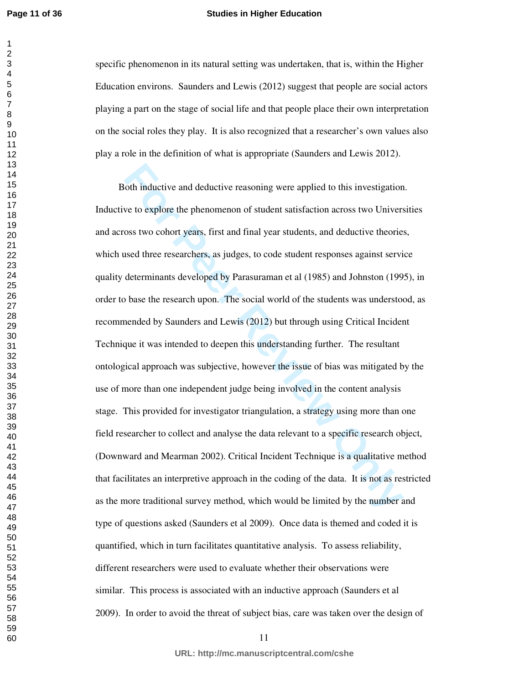#### **Studies in Higher Education**

specific phenomenon in its natural setting was undertaken, that is, within the Higher Education environs. Saunders and Lewis (2012) suggest that people are social actors playing a part on the stage of social life and that people place their own interpretation on the social roles they play. It is also recognized that a researcher's own values also play a role in the definition of what is appropriate (Saunders and Lewis 2012).

oth inductive and deductive reasoning were applied to this investigation<br>we to explore the phenomenon of student satisfaction across two Univers<br>oss two cohort years, first and final year students, and deductive theories<br>u Both inductive and deductive reasoning were applied to this investigation. Inductive to explore the phenomenon of student satisfaction across two Universities and across two cohort years, first and final year students, and deductive theories, which used three researchers, as judges, to code student responses against service quality determinants developed by Parasuraman et al (1985) and Johnston (1995), in order to base the research upon. The social world of the students was understood, as recommended by Saunders and Lewis (2012) but through using Critical Incident Technique it was intended to deepen this understanding further. The resultant ontological approach was subjective, however the issue of bias was mitigated by the use of more than one independent judge being involved in the content analysis stage. This provided for investigator triangulation, a strategy using more than one field researcher to collect and analyse the data relevant to a specific research object, (Downward and Mearman 2002). Critical Incident Technique is a qualitative method that facilitates an interpretive approach in the coding of the data. It is not as restricted as the more traditional survey method, which would be limited by the number and type of questions asked (Saunders et al 2009). Once data is themed and coded it is quantified, which in turn facilitates quantitative analysis. To assess reliability, different researchers were used to evaluate whether their observations were similar. This process is associated with an inductive approach (Saunders et al 2009). In order to avoid the threat of subject bias, care was taken over the design of

**URL: http://mc.manuscriptcentral.com/cshe**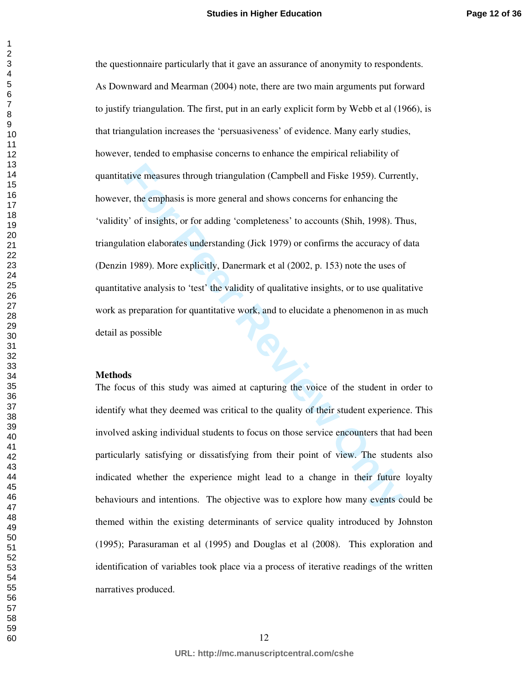ative measures through triangulation (Campbell and Fiske 1959). Current expert of the emphasis is more general and shows concerns for enhancing the y' of insights, or for adding 'completeness' to accounts (Shih, 1998). Tha the questionnaire particularly that it gave an assurance of anonymity to respondents. As Downward and Mearman (2004) note, there are two main arguments put forward to justify triangulation. The first, put in an early explicit form by Webb et al (1966), is that triangulation increases the 'persuasiveness' of evidence. Many early studies, however, tended to emphasise concerns to enhance the empirical reliability of quantitative measures through triangulation (Campbell and Fiske 1959). Currently, however, the emphasis is more general and shows concerns for enhancing the 'validity' of insights, or for adding 'completeness' to accounts (Shih, 1998). Thus, triangulation elaborates understanding (Jick 1979) or confirms the accuracy of data (Denzin 1989). More explicitly, Danermark et al (2002, p. 153) note the uses of quantitative analysis to 'test' the validity of qualitative insights, or to use qualitative work as preparation for quantitative work, and to elucidate a phenomenon in as much detail as possible

#### **Methods**

The focus of this study was aimed at capturing the voice of the student in order to identify what they deemed was critical to the quality of their student experience. This involved asking individual students to focus on those service encounters that had been particularly satisfying or dissatisfying from their point of view. The students also indicated whether the experience might lead to a change in their future loyalty behaviours and intentions. The objective was to explore how many events could be themed within the existing determinants of service quality introduced by Johnston (1995); Parasuraman et al (1995) and Douglas et al (2008). This exploration and identification of variables took place via a process of iterative readings of the written narratives produced.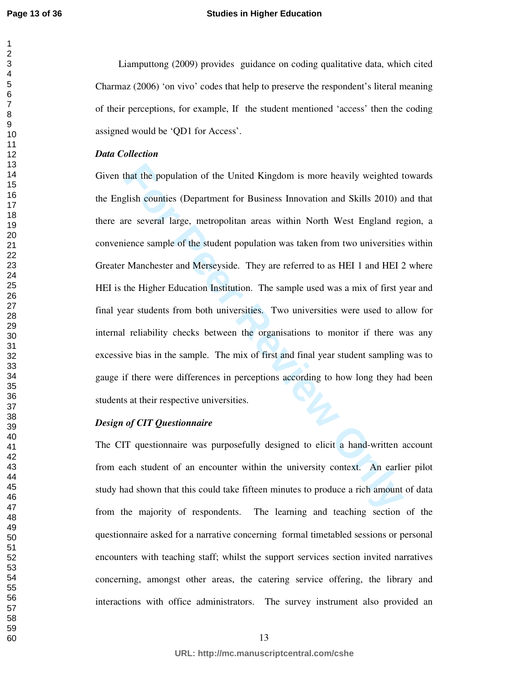**Page 13 of 36**

#### **Studies in Higher Education**

Liamputtong (2009) provides guidance on coding qualitative data, which cited Charmaz (2006) 'on vivo' codes that help to preserve the respondent's literal meaning of their perceptions, for example, If the student mentioned 'access' then the coding assigned would be 'QD1 for Access'.

#### *Data Collection*

that the population of the United Kingdom is more heavily weighted t<br>glish counties (Department for Business Innovation and Skills 2010) a<br>re several large, metropolitan areas within North West England re<br>ience sample of t Given that the population of the United Kingdom is more heavily weighted towards the English counties (Department for Business Innovation and Skills 2010) and that there are several large, metropolitan areas within North West England region, a convenience sample of the student population was taken from two universities within Greater Manchester and Merseyside. They are referred to as HEI 1 and HEI 2 where HEI is the Higher Education Institution. The sample used was a mix of first year and final year students from both universities. Two universities were used to allow for internal reliability checks between the organisations to monitor if there was any excessive bias in the sample. The mix of first and final year student sampling was to gauge if there were differences in perceptions according to how long they had been students at their respective universities.

#### *Design of CIT Questionnaire*

The CIT questionnaire was purposefully designed to elicit a hand-written account from each student of an encounter within the university context. An earlier pilot study had shown that this could take fifteen minutes to produce a rich amount of data from the majority of respondents. The learning and teaching section of the questionnaire asked for a narrative concerning formal timetabled sessions or personal encounters with teaching staff; whilst the support services section invited narratives concerning, amongst other areas, the catering service offering, the library and interactions with office administrators. The survey instrument also provided an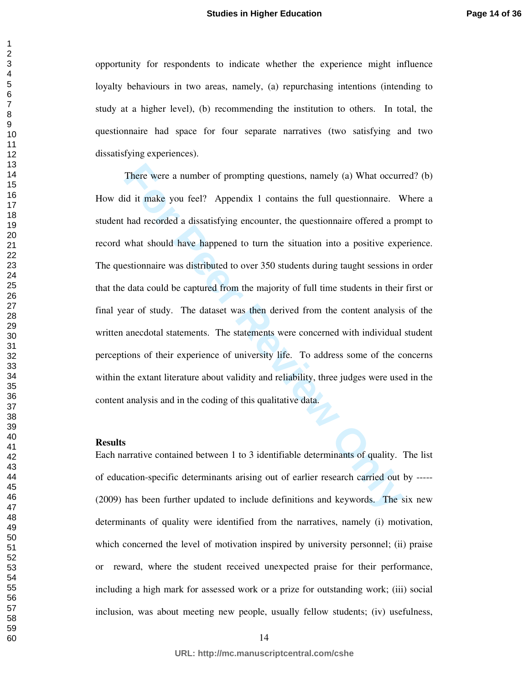opportunity for respondents to indicate whether the experience might influence loyalty behaviours in two areas, namely, (a) repurchasing intentions (intending to study at a higher level), (b) recommending the institution to others. In total, the questionnaire had space for four separate narratives (two satisfying and two dissatisfying experiences).

There were a number of prompting questions, namely (a) What occurr<br>id it make you feel? Appendix 1 contains the full questionnaire. W<br>had recorded a dissatisfying encounter, the questionnaire offered a pro<br>what should have There were a number of prompting questions, namely (a) What occurred? (b) How did it make you feel? Appendix 1 contains the full questionnaire. Where a student had recorded a dissatisfying encounter, the questionnaire offered a prompt to record what should have happened to turn the situation into a positive experience. The questionnaire was distributed to over 350 students during taught sessions in order that the data could be captured from the majority of full time students in their first or final year of study. The dataset was then derived from the content analysis of the written anecdotal statements. The statements were concerned with individual student perceptions of their experience of university life. To address some of the concerns within the extant literature about validity and reliability, three judges were used in the content analysis and in the coding of this qualitative data.

#### **Results**

Each narrative contained between 1 to 3 identifiable determinants of quality. The list of education-specific determinants arising out of earlier research carried out by ----- (2009) has been further updated to include definitions and keywords. The six new determinants of quality were identified from the narratives, namely (i) motivation, which concerned the level of motivation inspired by university personnel; (ii) praise or reward, where the student received unexpected praise for their performance, including a high mark for assessed work or a prize for outstanding work; (iii) social inclusion, was about meeting new people, usually fellow students; (iv) usefulness,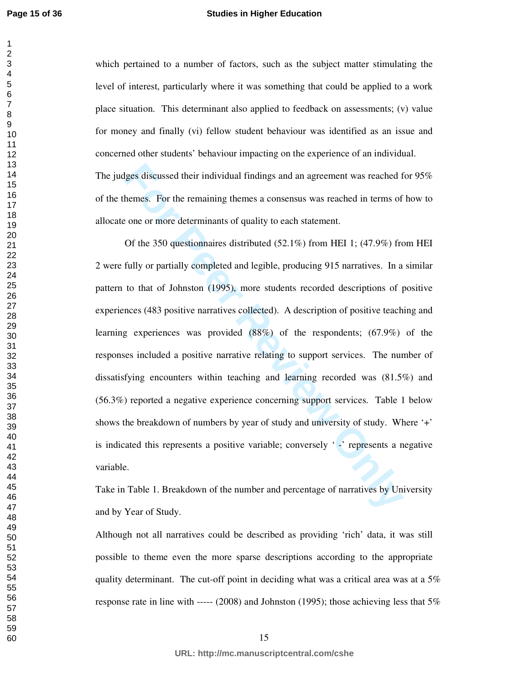#### **Studies in Higher Education**

which pertained to a number of factors, such as the subject matter stimulating the level of interest, particularly where it was something that could be applied to a work place situation. This determinant also applied to feedback on assessments; (v) value for money and finally (vi) fellow student behaviour was identified as an issue and concerned other students' behaviour impacting on the experience of an individual.

The judges discussed their individual findings and an agreement was reached for 95% of the themes. For the remaining themes a consensus was reached in terms of how to allocate one or more determinants of quality to each statement.

lges discussed their individual findings and an agreement was reached f<br>hemes. For the remaining themes a consensus was reached in terms of<br>cone or more determinants of quality to each statement.<br>Of the 350 questionnaires Of the 350 questionnaires distributed (52.1%) from HEI 1; (47.9%) from HEI 2 were fully or partially completed and legible, producing 915 narratives. In a similar pattern to that of Johnston (1995), more students recorded descriptions of positive experiences (483 positive narratives collected). A description of positive teaching and learning experiences was provided (88%) of the respondents; (67.9%) of the responses included a positive narrative relating to support services. The number of dissatisfying encounters within teaching and learning recorded was (81.5%) and (56.3%) reported a negative experience concerning support services. Table 1 below shows the breakdown of numbers by year of study and university of study. Where '+' is indicated this represents a positive variable; conversely ' -' represents a negative variable.

Take in Table 1. Breakdown of the number and percentage of narratives by University and by Year of Study.

Although not all narratives could be described as providing 'rich' data, it was still possible to theme even the more sparse descriptions according to the appropriate quality determinant. The cut-off point in deciding what was a critical area was at a 5% response rate in line with ----- (2008) and Johnston (1995); those achieving less that 5%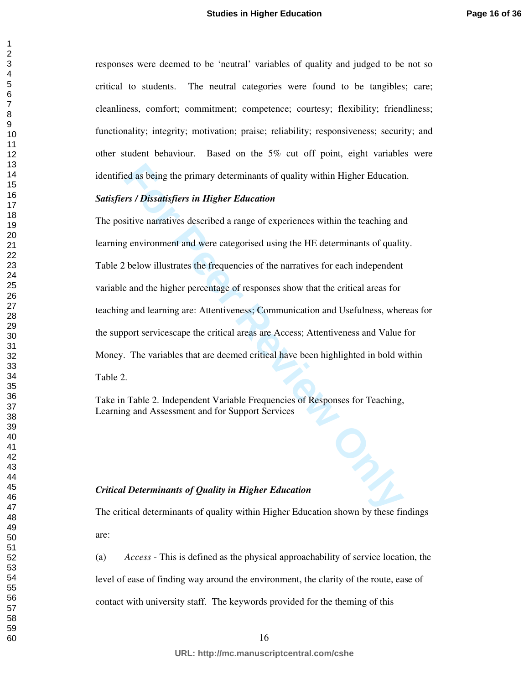responses were deemed to be 'neutral' variables of quality and judged to be not so critical to students. The neutral categories were found to be tangibles; care; cleanliness, comfort; commitment; competence; courtesy; flexibility; friendliness; functionality; integrity; motivation; praise; reliability; responsiveness; security; and other student behaviour. Based on the 5% cut off point, eight variables were identified as being the primary determinants of quality within Higher Education.

# *Satisfiers / Dissatisfiers in Higher Education*

read as being the primary determinants of quality within Higher Education<br> **Formulative is an Eigher Education**<br>
Sitive narratives described a range of experiences within the teaching and<br>
genvironment and were categorised The positive narratives described a range of experiences within the teaching and learning environment and were categorised using the HE determinants of quality. Table 2 below illustrates the frequencies of the narratives for each independent variable and the higher percentage of responses show that the critical areas for teaching and learning are: Attentiveness; Communication and Usefulness, whereas for the support servicescape the critical areas are Access; Attentiveness and Value for Money. The variables that are deemed critical have been highlighted in bold within Table 2.

Take in Table 2. Independent Variable Frequencies of Responses for Teaching, Learning and Assessment and for Support Services

#### *Critical Determinants of Quality in Higher Education*

The critical determinants of quality within Higher Education shown by these findings are:

(a) *Access* - This is defined as the physical approachability of service location, the level of ease of finding way around the environment, the clarity of the route, ease of contact with university staff. The keywords provided for the theming of this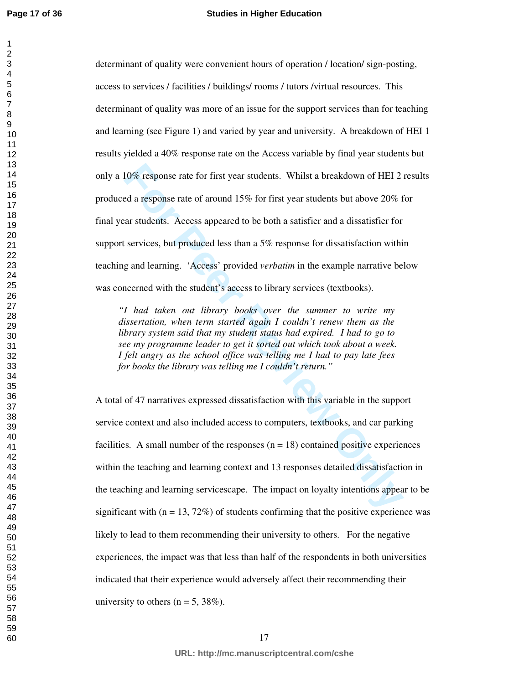#### **Studies in Higher Education**

10% response rate for first year students. Whilst a breakdown of HEI 2<br>d a response rate of around 15% for first year students but above 20% f<br>ar students. Access appeared to be both a satisfier and a dissatisfier for<br>serv determinant of quality were convenient hours of operation / location/ sign-posting, access to services / facilities / buildings/ rooms / tutors /virtual resources. This determinant of quality was more of an issue for the support services than for teaching and learning (see Figure 1) and varied by year and university. A breakdown of HEI 1 results yielded a 40% response rate on the Access variable by final year students but only a 10% response rate for first year students. Whilst a breakdown of HEI 2 results produced a response rate of around 15% for first year students but above 20% for final year students. Access appeared to be both a satisfier and a dissatisfier for support services, but produced less than a 5% response for dissatisfaction within teaching and learning. 'Access' provided *verbatim* in the example narrative below was concerned with the student's access to library services (textbooks).

*"I had taken out library books over the summer to write my dissertation, when term started again I couldn't renew them as the library system said that my student status had expired. I had to go to see my programme leader to get it sorted out which took about a week. I felt angry as the school office was telling me I had to pay late fees for books the library was telling me I couldn't return."* 

A total of 47 narratives expressed dissatisfaction with this variable in the support service context and also included access to computers, textbooks, and car parking facilities. A small number of the responses  $(n = 18)$  contained positive experiences within the teaching and learning context and 13 responses detailed dissatisfaction in the teaching and learning servicescape. The impact on loyalty intentions appear to be significant with  $(n = 13, 72\%)$  of students confirming that the positive experience was likely to lead to them recommending their university to others. For the negative experiences, the impact was that less than half of the respondents in both universities indicated that their experience would adversely affect their recommending their university to others ( $n = 5$ , 38%).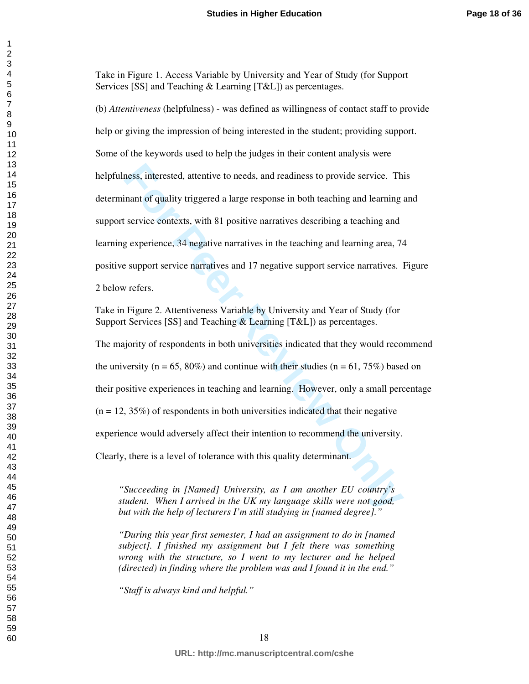Take in Figure 1. Access Variable by University and Year of Study (for Support Services [SS] and Teaching & Learning [T&L]) as percentages.

ness, interested, attentive to needs, and readiness to provide service. The<br>mant of quality triggered a large response in both teaching and learning<br>service contexts, with 81 positive narratives describing a teaching and<br>g (b) *Attentiveness* (helpfulness) - was defined as willingness of contact staff to provide help or giving the impression of being interested in the student; providing support. Some of the keywords used to help the judges in their content analysis were helpfulness, interested, attentive to needs, and readiness to provide service. This determinant of quality triggered a large response in both teaching and learning and support service contexts, with 81 positive narratives describing a teaching and learning experience, 34 negative narratives in the teaching and learning area, 74 positive support service narratives and 17 negative support service narratives. Figure

2 below refers.

Take in Figure 2. Attentiveness Variable by University and Year of Study (for Support Services [SS] and Teaching & Learning [T&L]) as percentages.

The majority of respondents in both universities indicated that they would recommend the university ( $n = 65, 80\%$ ) and continue with their studies ( $n = 61, 75\%$ ) based on their positive experiences in teaching and learning. However, only a small percentage  $(n = 12, 35\%)$  of respondents in both universities indicated that their negative experience would adversely affect their intention to recommend the university.

Clearly, there is a level of tolerance with this quality determinant.

*"Succeeding in [Named] University, as I am another EU country's student. When I arrived in the UK my language skills were not good, but with the help of lecturers I'm still studying in [named degree]."* 

*"During this year first semester, I had an assignment to do in [named subject]. I finished my assignment but I felt there was something wrong with the structure, so I went to my lecturer and he helped (directed) in finding where the problem was and I found it in the end."* 

*"Staff is always kind and helpful."*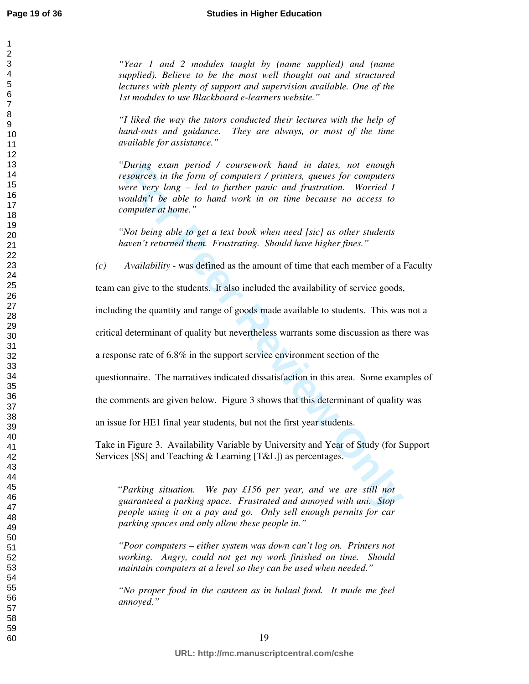*"Year 1 and 2 modules taught by (name supplied) and (name supplied). Believe to be the most well thought out and structured lectures with plenty of support and supervision available. One of the 1st modules to use Blackboard e-learners website."* 

*"I liked the way the tutors conducted their lectures with the help of hand-outs and guidance. They are always, or most of the time available for assistance."*

During exam period / coursework hand in dates, not enough<br> *Buring examces* in the form of computers / printers, queues for computers<br>
rever very long – led to further panic and frustration. Worried I<br>
couldn't be able to *"During exam period / coursework hand in dates, not enough resources in the form of computers / printers, queues for computers were very long – led to further panic and frustration. Worried I wouldn't be able to hand work in on time because no access to computer at home."* 

*"Not being able to get a text book when need [sic] as other students haven't returned them. Frustrating. Should have higher fines."* 

*(c) Availability* - was defined as the amount of time that each member of a Faculty

team can give to the students. It also included the availability of service goods,

including the quantity and range of goods made available to students. This was not a

critical determinant of quality but nevertheless warrants some discussion as there was

a response rate of 6.8% in the support service environment section of the

questionnaire. The narratives indicated dissatisfaction in this area. Some examples of

the comments are given below. Figure 3 shows that this determinant of quality was

an issue for HE1 final year students, but not the first year students.

Take in Figure 3. Availability Variable by University and Year of Study (for Support Services [SS] and Teaching & Learning [T&L]) as percentages.

"*Parking situation. We pay £156 per year, and we are still not guaranteed a parking space. Frustrated and annoyed with uni. Stop people using it on a pay and go. Only sell enough permits for car parking spaces and only allow these people in."* 

*"Poor computers – either system was down can't log on. Printers not working. Angry, could not get my work finished on time. Should maintain computers at a level so they can be used when needed."* 

*"No proper food in the canteen as in halaal food. It made me feel annoyed."*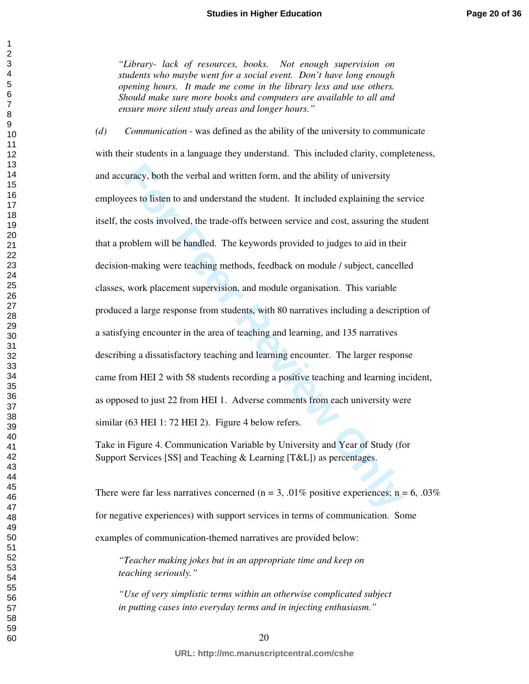*"Library- lack of resources, books. Not enough supervision on students who maybe went for a social event. Don't have long enough opening hours. It made me come in the library less and use others. Should make sure more books and computers are available to all and ensure more silent study areas and longer hours."* 

uracy, both the verbal and written form, and the ability of university<br>recs to listen to and understand the student. It included explaining the se<br>he costs involved, the trade-offs between service and cost, assuring the s<br> *(d) Communication* - was defined as the ability of the university to communicate with their students in a language they understand. This included clarity, completeness, and accuracy, both the verbal and written form, and the ability of university employees to listen to and understand the student. It included explaining the service itself, the costs involved, the trade-offs between service and cost, assuring the student that a problem will be handled. The keywords provided to judges to aid in their decision-making were teaching methods, feedback on module / subject, cancelled classes, work placement supervision, and module organisation. This variable produced a large response from students, with 80 narratives including a description of a satisfying encounter in the area of teaching and learning, and 135 narratives describing a dissatisfactory teaching and learning encounter. The larger response came from HEI 2 with 58 students recording a positive teaching and learning incident, as opposed to just 22 from HEI 1. Adverse comments from each university were similar (63 HEI 1: 72 HEI 2). Figure 4 below refers.

Take in Figure 4. Communication Variable by University and Year of Study (for Support Services [SS] and Teaching & Learning [T&L]) as percentages.

There were far less narratives concerned ( $n = 3$ , .01% positive experiences;  $n = 6$ , .03% for negative experiences) with support services in terms of communication. Some examples of communication-themed narratives are provided below:

*"Teacher making jokes but in an appropriate time and keep on teaching seriously."* 

*"Use of very simplistic terms within an otherwise complicated subject in putting cases into everyday terms and in injecting enthusiasm."* 

**URL: http://mc.manuscriptcentral.com/cshe**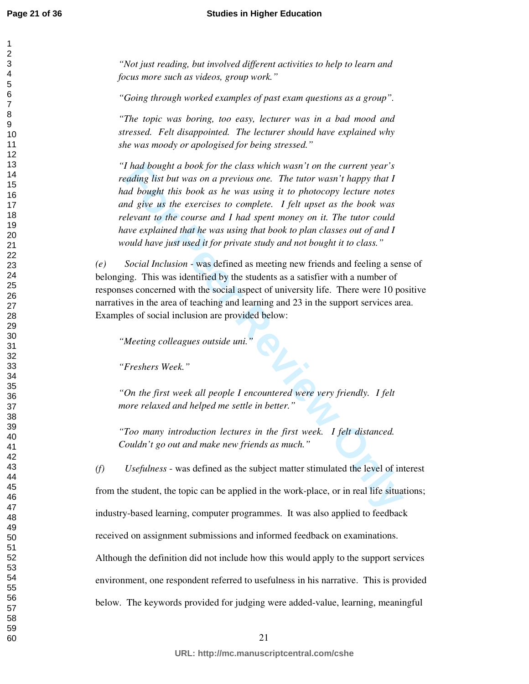#### **Studies in Higher Education**

*"Not just reading, but involved different activities to help to learn and focus more such as videos, group work."* 

*"Going through worked examples of past exam questions as a group".* 

*"The topic was boring, too easy, lecturer was in a bad mood and stressed. Felt disappointed. The lecturer should have explained why she was moody or apologised for being stressed."* 

*For the class which wasn't on the current year's*<br> *For that bought in twas on a previous one. The tutor wasn't happy that I<br>
ad bought this book as he was using it to photocopy lecture notes<br>
and bought this book as he w "I had bought a book for the class which wasn't on the current year's reading list but was on a previous one. The tutor wasn't happy that I had bought this book as he was using it to photocopy lecture notes and give us the exercises to complete. I felt upset as the book was relevant to the course and I had spent money on it. The tutor could have explained that he was using that book to plan classes out of and I would have just used it for private study and not bought it to class."* 

*(e) Social Inclusion -* was defined as meeting new friends and feeling a sense of belonging. This was identified by the students as a satisfier with a number of responses concerned with the social aspect of university life. There were 10 positive narratives in the area of teaching and learning and 23 in the support services area. Examples of social inclusion are provided below:

*"Meeting colleagues outside uni."* 

*"Freshers Week."* 

*"On the first week all people I encountered were very friendly. I felt more relaxed and helped me settle in better."* 

*"Too many introduction lectures in the first week. I felt distanced. Couldn't go out and make new friends as much."* 

*(f) Usefulness* - was defined as the subject matter stimulated the level of interest from the student, the topic can be applied in the work-place, or in real life situations; industry-based learning, computer programmes. It was also applied to feedback received on assignment submissions and informed feedback on examinations. Although the definition did not include how this would apply to the support services environment, one respondent referred to usefulness in his narrative. This is provided below. The keywords provided for judging were added-value, learning, meaningful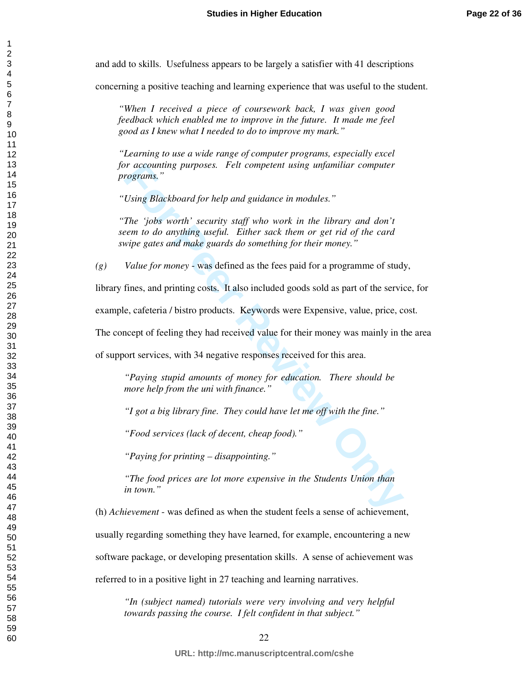and add to skills. Usefulness appears to be largely a satisfier with 41 descriptions

concerning a positive teaching and learning experience that was useful to the student.

*"When I received a piece of coursework back, I was given good feedback which enabled me to improve in the future. It made me feel good as I knew what I needed to do to improve my mark."* 

*"Learning to use a wide range of computer programs, especially excel for accounting purposes. Felt competent using unfamiliar computer programs."* 

*"Using Blackboard for help and guidance in modules."* 

*For accounting purposes. Felt competent using unfamiliar computer*<br>*For pograms,"*<br>*The 'jobs worth' security staff who work in the library and don't*<br>*The 'jobs worth' security staff who work in the library and don't*<br>*F "The 'jobs worth' security staff who work in the library and don't seem to do anything useful. Either sack them or get rid of the card swipe gates and make guards do something for their money."* 

*(g) Value for money* - was defined as the fees paid for a programme of study,

library fines, and printing costs. It also included goods sold as part of the service, for

example, cafeteria / bistro products. Keywords were Expensive, value, price, cost.

The concept of feeling they had received value for their money was mainly in the area

of support services, with 34 negative responses received for this area.

*"Paying stupid amounts of money for education. There should be more help from the uni with finance."* 

*"I got a big library fine. They could have let me off with the fine."* 

*"Food services (lack of decent, cheap food)."* 

*"Paying for printing – disappointing."* 

*"The food prices are lot more expensive in the Students Union than in town."* 

(h) *Achievement* - was defined as when the student feels a sense of achievement,

usually regarding something they have learned, for example, encountering a new

software package, or developing presentation skills. A sense of achievement was

referred to in a positive light in 27 teaching and learning narratives.

*"In (subject named) tutorials were very involving and very helpful towards passing the course. I felt confident in that subject."* 

**URL: http://mc.manuscriptcentral.com/cshe**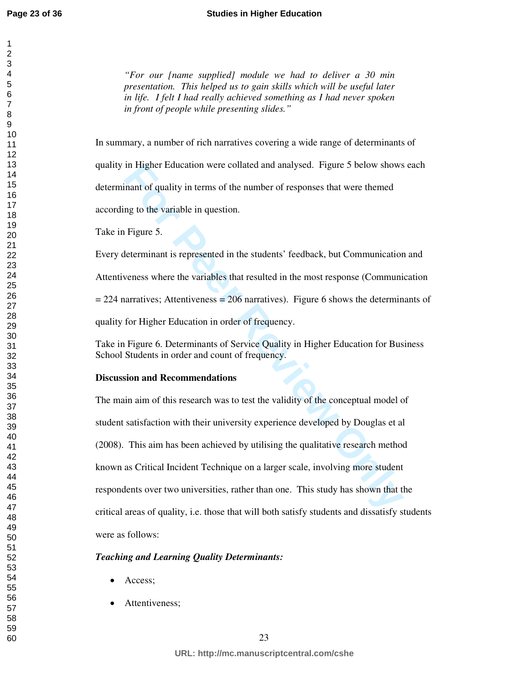*"For our [name supplied] module we had to deliver a 30 min presentation. This helped us to gain skills which will be useful later in life. I felt I had really achieved something as I had never spoken in front of people while presenting slides."* 

In summary, a number of rich narratives covering a wide range of determinants of quality in Higher Education were collated and analysed. Figure 5 below shows each determinant of quality in terms of the number of responses that were themed according to the variable in question.

Take in Figure 5.

Every determinant is represented in the students' feedback, but Communication and Attentiveness where the variables that resulted in the most response (Communication  $= 224$  narratives; Attentiveness  $= 206$  narratives). Figure 6 shows the determinants of quality for Higher Education in order of frequency.

Take in Figure 6. Determinants of Service Quality in Higher Education for Business School Students in order and count of frequency.

# **Discussion and Recommendations**

In Higher Education were collated and analysed. Figure 5 below shows<br>
inant of quality in terms of the number of responses that were themed<br>
mg to the variable in question.<br>
Figure 5.<br>
Eleterminant is represented in the st The main aim of this research was to test the validity of the conceptual model of student satisfaction with their university experience developed by Douglas et al (2008). This aim has been achieved by utilising the qualitative research method known as Critical Incident Technique on a larger scale, involving more student respondents over two universities, rather than one. This study has shown that the critical areas of quality, i.e. those that will both satisfy students and dissatisfy students were as follows:

# *Teaching and Learning Quality Determinants:*

- Access;
- Attentiveness;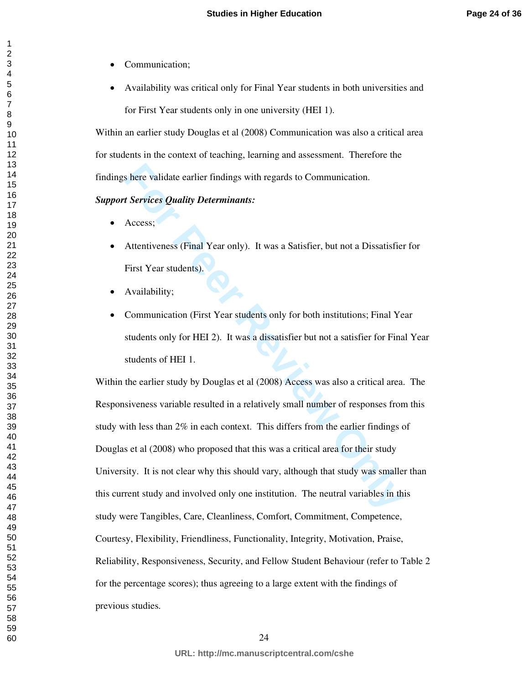- Communication;
- Availability was critical only for Final Year students in both universities and for First Year students only in one university (HEI 1).

Within an earlier study Douglas et al (2008) Communication was also a critical area for students in the context of teaching, learning and assessment. Therefore the findings here validate earlier findings with regards to Communication.

#### *Support Services Quality Determinants:*

- Access;
- Attentiveness (Final Year only). It was a Satisfier, but not a Dissatisfier for First Year students).
- Availability;
- Communication (First Year students only for both institutions; Final Year students only for HEI 2). It was a dissatisfier but not a satisfier for Final Year students of HEI 1.

Solve the validate earlier findings with regards to Communication.<br> **Forvices Quality Determinants:**<br>
Access:<br>
Attentiveness (Final Year only). It was a Satisfier, but not a Dissatisfiel<br>
First Year students).<br>
Availabilit Within the earlier study by Douglas et al (2008) Access was also a critical area. The Responsiveness variable resulted in a relatively small number of responses from this study with less than 2% in each context. This differs from the earlier findings of Douglas et al (2008) who proposed that this was a critical area for their study University. It is not clear why this should vary, although that study was smaller than this current study and involved only one institution. The neutral variables in this study were Tangibles, Care, Cleanliness, Comfort, Commitment, Competence, Courtesy, Flexibility, Friendliness, Functionality, Integrity, Motivation, Praise, Reliability, Responsiveness, Security, and Fellow Student Behaviour (refer to Table 2 for the percentage scores); thus agreeing to a large extent with the findings of previous studies.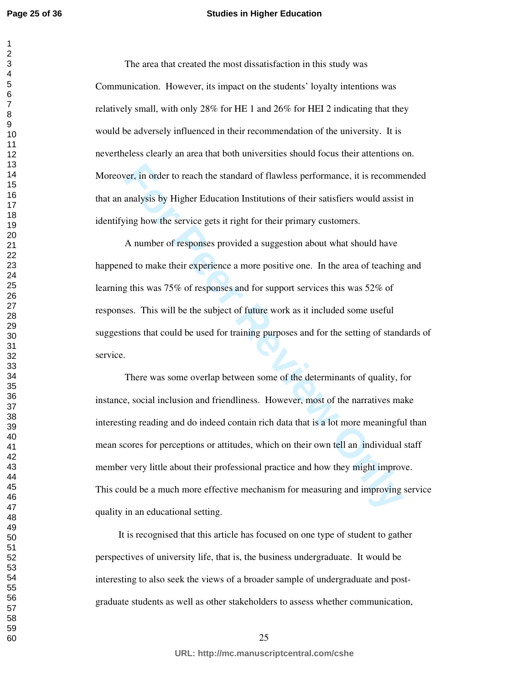#### **Studies in Higher Education**

The area that created the most dissatisfaction in this study was Communication. However, its impact on the students' loyalty intentions was relatively small, with only 28% for HE 1 and 26% for HEI 2 indicating that they would be adversely influenced in their recommendation of the university. It is nevertheless clearly an area that both universities should focus their attentions on. Moreover, in order to reach the standard of flawless performance, it is recommended that an analysis by Higher Education Institutions of their satisfiers would assist in identifying how the service gets it right for their primary customers.

A number of responses provided a suggestion about what should have happened to make their experience a more positive one. In the area of teaching and learning this was 75% of responses and for support services this was 52% of responses. This will be the subject of future work as it included some useful suggestions that could be used for training purposes and for the setting of standards of service.

For the standard of flawless performance, it is recommandly the standard of flawless performance, it is recommandly sis by Higher Education Institutions of their satisfiers would assist in the house standard contraction In There was some overlap between some of the determinants of quality, for instance, social inclusion and friendliness. However, most of the narratives make interesting reading and do indeed contain rich data that is a lot more meaningful than mean scores for perceptions or attitudes, which on their own tell an individual staff member very little about their professional practice and how they might improve. This could be a much more effective mechanism for measuring and improving service quality in an educational setting.

It is recognised that this article has focused on one type of student to gather perspectives of university life, that is, the business undergraduate. It would be interesting to also seek the views of a broader sample of undergraduate and postgraduate students as well as other stakeholders to assess whether communication,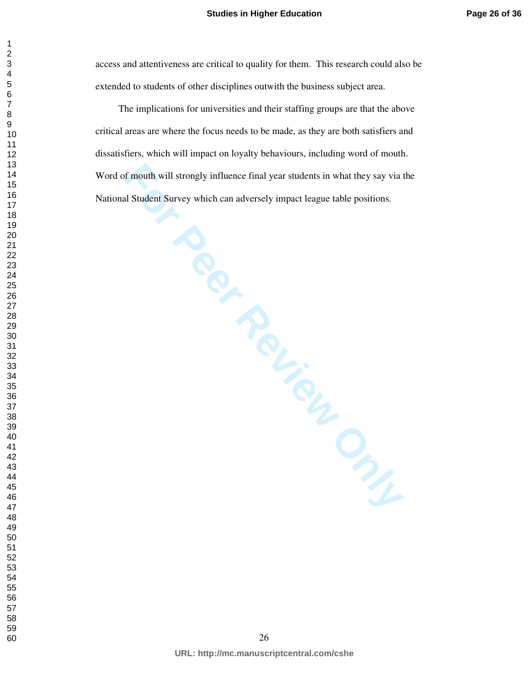access and attentiveness are critical to quality for them. This research could also be extended to students of other disciplines outwith the business subject area.

The implications for universities and their staffing groups are that the above critical areas are where the focus needs to be made, as they are both satisfiers and dissatisfiers, which will impact on loyalty behaviours, including word of mouth. Word of mouth will strongly influence final year students in what they say via the National Student Survey which can adversely impact league table positions.

**For Peer Review Only**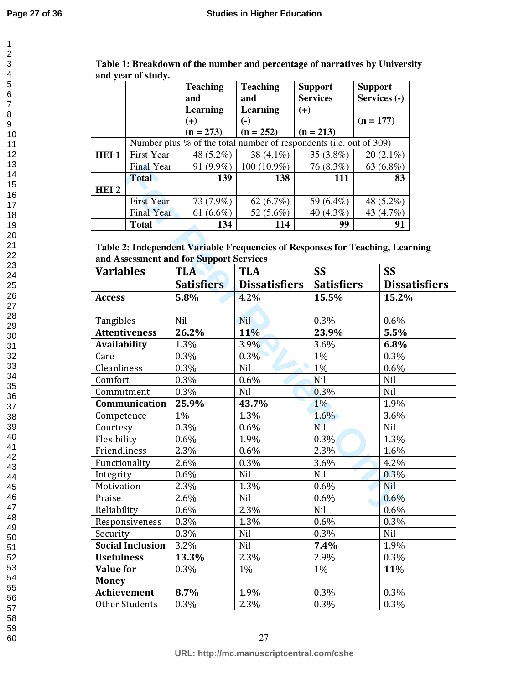|                  | anu year or stuuy.                                                   | <b>Teaching</b><br>and | <b>Teaching</b><br>and    | <b>Support</b><br><b>Services</b> | <b>Support</b><br>Services (-) |
|------------------|----------------------------------------------------------------------|------------------------|---------------------------|-----------------------------------|--------------------------------|
|                  |                                                                      | Learning               | <b>Learning</b>           | $(+)$                             |                                |
|                  |                                                                      | $(+)$                  | $\left( \text{-} \right)$ |                                   | $(n = 177)$                    |
|                  |                                                                      | $(n = 273)$            | $(n = 252)$               | $(n = 213)$                       |                                |
|                  | Number plus $%$ of the total number of respondents (i.e. out of 309) |                        |                           |                                   |                                |
| HEI <sub>1</sub> | <b>First Year</b>                                                    | 48 (5.2%)              | 38 $(4.1\%)$              | 35 $(3.8\%)$                      | $20(2.1\%)$                    |
|                  | <b>Final Year</b>                                                    | 91 (9.9%)              | 100 (10.9%)               | 76 (8.3%)                         | 63 $(6.8\%)$                   |
|                  | <b>Total</b>                                                         | 139                    | 138                       | 111                               | 83                             |
| HEI <sub>2</sub> |                                                                      |                        |                           |                                   |                                |
|                  | <b>First Year</b>                                                    | 73 (7.9%)              | 62 $(6.7\%)$              | 59 (6.4%)                         | 48 (5.2%)                      |
|                  | <b>Final Year</b>                                                    | 61 $(6.6\%)$           | 52 (5.6%)                 | 40 (4.3%)                         | 43 (4.7%)                      |
|                  | <b>Total</b>                                                         | 134                    | 114                       | 99                                | 91                             |

**Table 1: Breakdown of the number and percentage of narratives by University and year of study.** 

|                     | <b>Final Year</b>       |                                         | $91 (9.9\%)$   100 (10.9%)                                                    | 76 (8.3%)         | 63 $(6.8\%)$         |
|---------------------|-------------------------|-----------------------------------------|-------------------------------------------------------------------------------|-------------------|----------------------|
|                     | <b>Total</b>            | 139                                     | 138                                                                           | 111               | 83                   |
| HEI <sub>2</sub>    |                         |                                         |                                                                               |                   |                      |
|                     | <b>First Year</b>       | 73 (7.9%)                               | 62 $(6.7\%)$                                                                  | 59 (6.4%)         | 48 (5.2%)            |
|                     | <b>Final Year</b>       | 61 $(6.6\%)$                            | 52 (5.6%)                                                                     | 40 (4.3%)         | 43 (4.7%)            |
|                     | <b>Total</b>            | 134                                     | 114                                                                           | 99                | 91                   |
|                     |                         |                                         | Table 2: Independent Variable Frequencies of Responses for Teaching, Learning |                   |                      |
|                     |                         | and Assessment and for Support Services |                                                                               |                   |                      |
| <b>Variables</b>    |                         | <b>TLA</b>                              | <b>TLA</b>                                                                    | <b>SS</b>         | <b>SS</b>            |
|                     |                         | <b>Satisfiers</b>                       | <b>Dissatisfiers</b>                                                          | <b>Satisfiers</b> | <b>Dissatisfiers</b> |
| <b>Access</b>       |                         | 5.8%                                    | 4.2%                                                                          | 15.5%             | 15.2%                |
|                     |                         |                                         |                                                                               |                   |                      |
| Tangibles           |                         | Nil                                     | Nil                                                                           | 0.3%              | 0.6%                 |
|                     | <b>Attentiveness</b>    | 26.2%                                   | 11%                                                                           | 23.9%             | 5.5%                 |
| <b>Availability</b> |                         | 1.3%                                    | 3.9%                                                                          | 3.6%              | 6.8%                 |
| Care                |                         | 0.3%                                    | 0.3%                                                                          | 1%                | 0.3%                 |
| <b>Cleanliness</b>  |                         | 0.3%                                    | Nil                                                                           | 1%                | 0.6%                 |
| Comfort             |                         | 0.3%                                    | 0.6%                                                                          | Nil               | Nil                  |
| Commitment          |                         | 0.3%                                    | Nil                                                                           | 0.3%              | Nil                  |
|                     | Communication           | 25.9%                                   | 43.7%                                                                         | $1\%$             | 1.9%                 |
| Competence          |                         | 1%                                      | 1.3%                                                                          | 1.6%              | 3.6%                 |
| Courtesy            |                         | 0.3%                                    | 0.6%                                                                          | Nil               | Nil                  |
| Flexibility         |                         | 0.6%                                    | 1.9%                                                                          | 0.3%              | 1.3%                 |
| Friendliness        |                         | 2.3%                                    | 0.6%                                                                          | 2.3%              | 1.6%                 |
| Functionality       |                         | 2.6%                                    | 0.3%                                                                          | 3.6%              | 4.2%                 |
| Integrity           |                         | 0.6%                                    | Nil                                                                           | Nil               | 0.3%                 |
| Motivation          |                         | 2.3%                                    | 1.3%                                                                          | 0.6%              | Nil                  |
| Praise              |                         | 2.6%                                    | Nil                                                                           | 0.6%              | 0.6%                 |
| Reliability         |                         | 0.6%                                    | 2.3%                                                                          | Nil               | 0.6%                 |
|                     | Responsiveness          | 0.3%                                    | 1.3%                                                                          | 0.6%              | 0.3%                 |
| Security            |                         | 0.3%                                    | Nil                                                                           | 0.3%              | Nil                  |
|                     | <b>Social Inclusion</b> | 3.2%                                    | Nil                                                                           | 7.4%              | 1.9%                 |
| <b>Usefulness</b>   |                         | 13.3%                                   | 2.3%                                                                          | 2.9%              | 0.3%                 |
| <b>Value for</b>    |                         | 0.3%                                    | 1%                                                                            | $1\%$             | 11%                  |
| <b>Money</b>        |                         |                                         |                                                                               |                   |                      |
|                     | <b>Achievement</b>      | 8.7%                                    | 1.9%                                                                          | 0.3%              | 0.3%                 |
|                     | <b>Other Students</b>   | 0.3%                                    | 2.3%                                                                          | 0.3%              | 0.3%                 |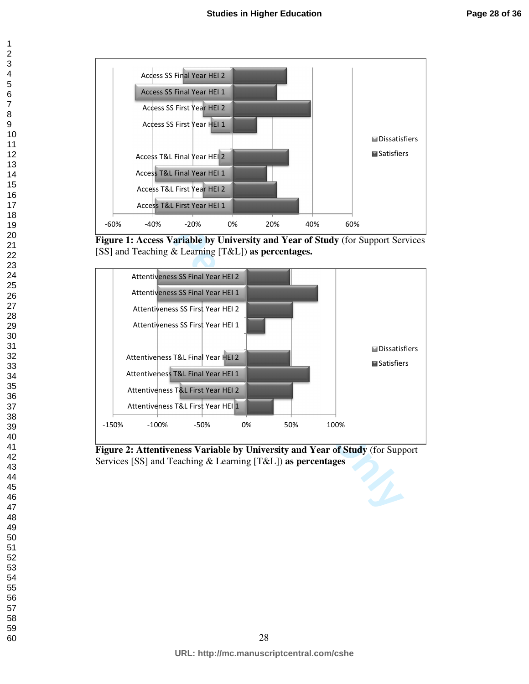

**Figure 1: Access Variable by University and Year of Study** (for Support Services [SS] and Teaching & Learning [T&L]) **as percentages.** 



**Figure 2: Attentiveness Variable by University and Year of Study** (for Support Services [SS] and Teaching & Learning [T&L]) **as percentages**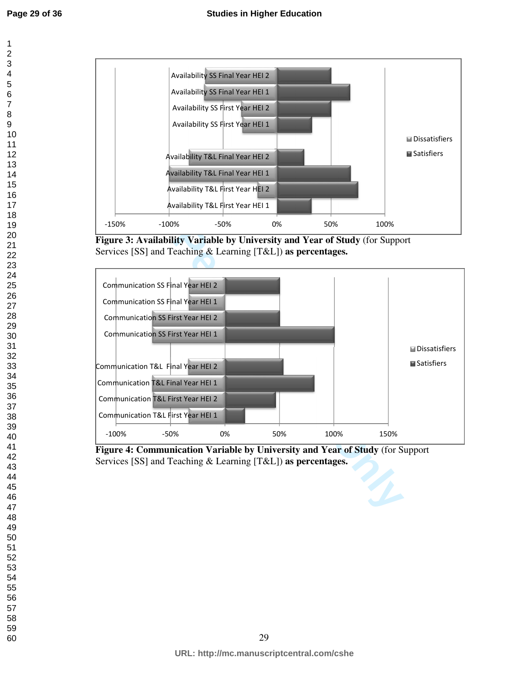

**Figure 3: Availability Variable by University and Year of Study** (for Support Services [SS] and Teaching & Learning [T&L]) **as percentages.** 



**Figure 4: Communication Variable by University and Year of Study** (for Support Services [SS] and Teaching & Learning [T&L]) **as percentages.**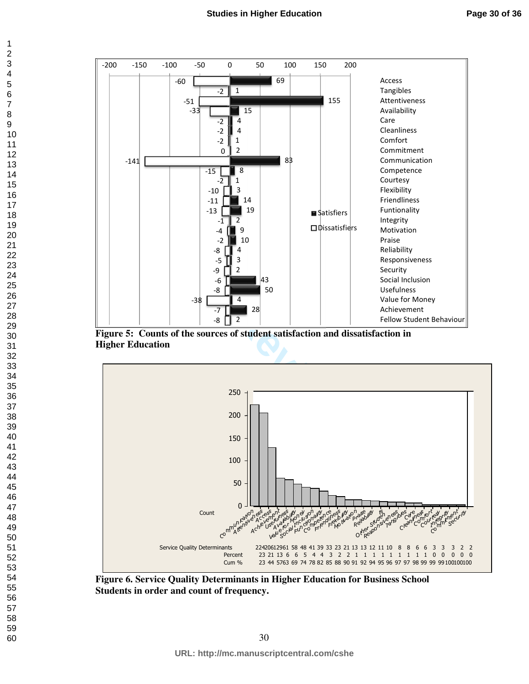





**Figure 6. Service Quality Determinants in Higher Education for Business School Students in order and count of frequency.**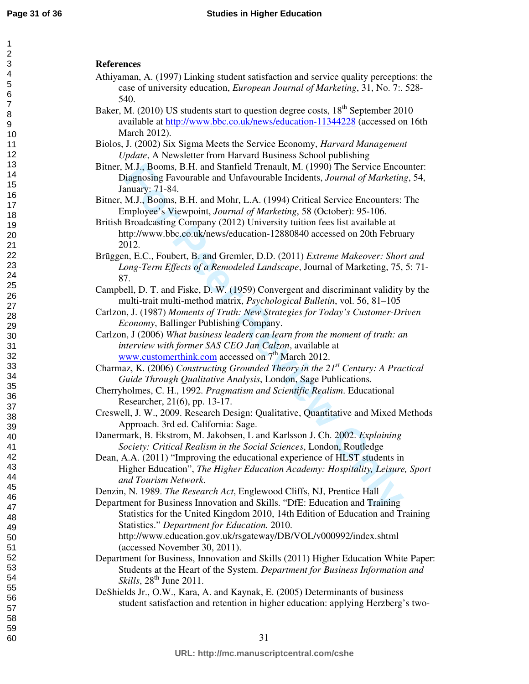#### **References**

- Athiyaman, A. (1997) Linking student satisfaction and service quality perceptions: the case of university education, *European Journal of Marketing*, 31, No. 7:. 528- 540.
- Baker, M. (2010) US students start to question degree costs,  $18<sup>th</sup>$  September 2010 available at http://www.bbc.co.uk/news/education-11344228 (accessed on 16th March 2012).
- Biolos, J. (2002) Six Sigma Meets the Service Economy, *Harvard Management Update*, A Newsletter from Harvard Business School publishing
- Bitner, M.J., Booms, B.H. and Stanfield Trenault, M. (1990) The Service Encounter: Diagnosing Favourable and Unfavourable Incidents, *Journal of Marketing*, 54, January: 71-84.
- Bitner, M.J., Booms, B.H. and Mohr, L.A. (1994) Critical Service Encounters: The Employee's Viewpoint, *Journal of Marketing*, 58 (October): 95-106.
- British Broadcasting Company (2012) University tuition fees list available at http://www.bbc.co.uk/news/education-12880840 accessed on 20th February 2012.
- Brūggen, E.C., Foubert, B. and Gremler, D.D. (2011) *Extreme Makeover: Short and Long-Term Effects of a Remodeled Landscape*, Journal of Marketing, 75, 5: 71- 87.
- Campbell, D. T. and Fiske, D. W. (1959) Convergent and discriminant validity by the multi-trait multi-method matrix, *Psychological Bulletin*, vol. 56, 81–105
- Carlzon, J. (1987) *Moments of Truth: New Strategies for Today's Customer-Driven Economy*, Ballinger Publishing Company.
- M.J., Booms, B.H. and Stanfield Trenault, M. (1990) The Service Enco<br>inagnosing Favourable and Unfavourable Incidents, *Journal of Marketin*,<br>natury: 71-84.<br>M.J., Booms, B.H. and Mohr, L.A. (1994) Critical Service Encounte Carlzon, J (2006) *What business leaders can learn from the moment of truth: an interview with former SAS CEO Jan Calzon*, available at www.customerthink.com accessed on  $7<sup>th</sup>$  March 2012.
- Charmaz, K. (2006) *Constructing Grounded Theory in the 21st Century: A Practical Guide Through Qualitative Analysis*, London, Sage Publications.
- Cherryholmes, C. H., 1992. *Pragmatism and Scientific Realism*. Educational Researcher, 21(6), pp. 13-17.
- Creswell, J. W., 2009. Research Design: Qualitative, Quantitative and Mixed Methods Approach. 3rd ed. California: Sage.
- Danermark, B. Ekstrom, M. Jakobsen, L and Karlsson J. Ch. 2002. *Explaining Society: Critical Realism in the Social Sciences*, London, Routledge
- Dean, A.A. (2011) "Improving the educational experience of HLST students in Higher Education", *The Higher Education Academy: Hospitality, Leisure, Sport and Tourism Network*.
- Denzin, N. 1989. *The Research Act*, Englewood Cliffs, NJ, Prentice Hall
- Department for Business Innovation and Skills. "DfE: Education and Training Statistics for the United Kingdom 2010, 14th Edition of Education and Training Statistics." *Department for Education.* 2010. http://www.education.gov.uk/rsgateway/DB/VOL/v000992/index.shtml (accessed November 30, 2011).
- Department for Business, Innovation and Skills (2011) Higher Education White Paper: Students at the Heart of the System. *Department for Business Information and Skills*, 28<sup>th</sup> June 2011.
- DeShields Jr., O.W., Kara, A. and Kaynak, E. (2005) Determinants of business student satisfaction and retention in higher education: applying Herzberg's two-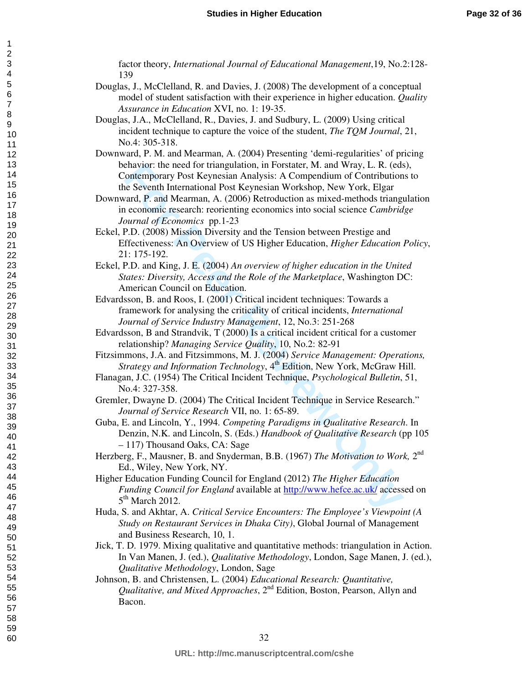factor theory, *International Journal of Educational Management*,19, No.2:128- 139

- Douglas, J., McClelland, R. and Davies, J. (2008) The development of a conceptual model of student satisfaction with their experience in higher education. *Quality Assurance in Education* XVI, no. 1: 19-35.
- Douglas, J.A., McClelland, R., Davies, J. and Sudbury, L. (2009) Using critical incident technique to capture the voice of the student, *The TQM Journal*, 21, No.4: 305-318.
- Downward, P. M. and Mearman, A. (2004) Presenting 'demi-regularities' of pricing behavior: the need for triangulation, in Forstater, M. and Wray, L. R. (eds), Contemporary Post Keynesian Analysis: A Compendium of Contributions to the Seventh International Post Keynesian Workshop, New York, Elgar
- Enavior: the need for triangulation, in Forstater, M. and Wray, L. R. (eds<br>ontemporary Post Keynesian Analysis: A Compendium of Contribution<br>for Peer Reventh International Post Keynesian Workshop, New York, Elgar<br>and, P. a Downward, P. and Mearman, A. (2006) Retroduction as mixed-methods triangulation in economic research: reorienting economics into social science *Cambridge Journal of Economics* pp.1-23
- Eckel, P.D. (2008) Mission Diversity and the Tension between Prestige and Effectiveness: An Overview of US Higher Education, *Higher Education Policy*, 21: 175-192.
- Eckel, P.D. and King, J. E. (2004) *An overview of higher education in the United States: Diversity, Access and the Role of the Marketplace*, Washington DC: American Council on Education.
- Edvardsson, B. and Roos, I. (2001) Critical incident techniques: Towards a framework for analysing the criticality of critical incidents, *International Journal of Service Industry Management*, 12, No.3: 251-268
- Edvardsson, B and Strandvik, T (2000) Is a critical incident critical for a customer relationship? *Managing Service Quality*, 10, No.2: 82-91
- Fitzsimmons, J.A. and Fitzsimmons, M. J. (2004) *Service Management: Operations, Strategy and Information Technology*, 4<sup>th</sup> Edition, New York, McGraw Hill.
- Flanagan, J.C. (1954) The Critical Incident Technique, *Psychological Bulletin*, 51, No.4: 327-358.
- Gremler, Dwayne D. (2004) The Critical Incident Technique in Service Research." *Journal of Service Research* VII, no. 1: 65-89.
- Guba, E. and Lincoln, Y., 1994. *Competing Paradigms in Qualitative Research*. In Denzin, N.K. and Lincoln, S. (Eds.) *Handbook of Qualitative Research* (pp 105 – 117) Thousand Oaks, CA: Sage
- Herzberg, F., Mausner, B. and Snyderman, B.B. (1967) *The Motivation to Work*, 2<sup>nd</sup> Ed., Wiley, New York, NY.
- Higher Education Funding Council for England (2012) *The Higher Education Funding Council for England* available at http://www.hefce.ac.uk/ accessed on 5<sup>th</sup> March 2012.
- Huda, S. and Akhtar, A. *Critical Service Encounters: The Employee's Viewpoint (A Study on Restaurant Services in Dhaka City)*, Global Journal of Management and Business Research, 10, 1.
- Jick, T. D. 1979. Mixing qualitative and quantitative methods: triangulation in Action. In Van Manen, J. (ed.), *Qualitative Methodology*, London, Sage Manen, J. (ed.), *Qualitative Methodology*, London, Sage
- Johnson, B. and Christensen, L. (2004) *Educational Research: Quantitative, Qualitative, and Mixed Approaches*, 2nd Edition, Boston, Pearson, Allyn and Bacon.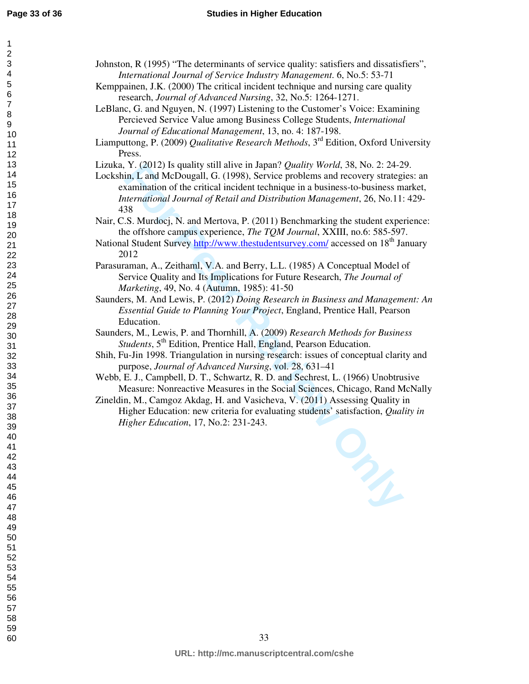| Johnston, R (1995) "The determinants of service quality: satisfiers and dissatisfiers",<br>International Journal of Service Industry Management. 6, No.5: 53-71         |
|-------------------------------------------------------------------------------------------------------------------------------------------------------------------------|
| Kemppainen, J.K. (2000) The critical incident technique and nursing care quality                                                                                        |
| research, Journal of Advanced Nursing, 32, No.5: 1264-1271.                                                                                                             |
| LeBlanc, G. and Nguyen, N. (1997) Listening to the Customer's Voice: Examining                                                                                          |
| Percieved Service Value among Business College Students, International                                                                                                  |
| Journal of Educational Management, 13, no. 4: 187-198.                                                                                                                  |
| Liamputtong, P. (2009) Qualitative Research Methods, 3rd Edition, Oxford University<br>Press.                                                                           |
| Lizuka, Y. (2012) Is quality still alive in Japan? Quality World, 38, No. 2: 24-29.                                                                                     |
| Lockshin, L and McDougall, G. (1998), Service problems and recovery strategies: an                                                                                      |
| examination of the critical incident technique in a business-to-business market,                                                                                        |
| International Journal of Retail and Distribution Management, 26, No.11: 429-                                                                                            |
| 438                                                                                                                                                                     |
| Nair, C.S. Murdocj, N. and Mertova, P. (2011) Benchmarking the student experience:                                                                                      |
| the offshore campus experience, The TQM Journal, XXIII, no.6: 585-597.<br>National Student Survey http://www.thestudentsurvey.com/ accessed on 18 <sup>th</sup> January |
| 2012                                                                                                                                                                    |
| Parasuraman, A., Zeithaml, V.A. and Berry, L.L. (1985) A Conceptual Model of                                                                                            |
| Service Quality and Its Implications for Future Research, The Journal of                                                                                                |
| Marketing, 49, No. 4 (Autumn, 1985): 41-50                                                                                                                              |
| Saunders, M. And Lewis, P. (2012) Doing Research in Business and Management: An                                                                                         |
| Essential Guide to Planning Your Project, England, Prentice Hall, Pearson<br>Education.                                                                                 |
| Saunders, M., Lewis, P. and Thornhill, A. (2009) Research Methods for Business                                                                                          |
| Students, 5 <sup>th</sup> Edition, Prentice Hall, England, Pearson Education.                                                                                           |
| Shih, Fu-Jin 1998. Triangulation in nursing research: issues of conceptual clarity and                                                                                  |
| purpose, Journal of Advanced Nursing, vol. 28, 631-41                                                                                                                   |
| Webb, E. J., Campbell, D. T., Schwartz, R. D. and Sechrest, L. (1966) Unobtrusive                                                                                       |
| Measure: Nonreactive Measures in the Social Sciences, Chicago, Rand McNally<br>Zineldin, M., Camgoz Akdag, H. and Vasicheva, V. (2011) Assessing Quality in             |
| Higher Education: new criteria for evaluating students' satisfaction, Quality in                                                                                        |
| Higher Education, 17, No.2: 231-243.                                                                                                                                    |
|                                                                                                                                                                         |
|                                                                                                                                                                         |
|                                                                                                                                                                         |
|                                                                                                                                                                         |
| m                                                                                                                                                                       |
|                                                                                                                                                                         |
|                                                                                                                                                                         |
|                                                                                                                                                                         |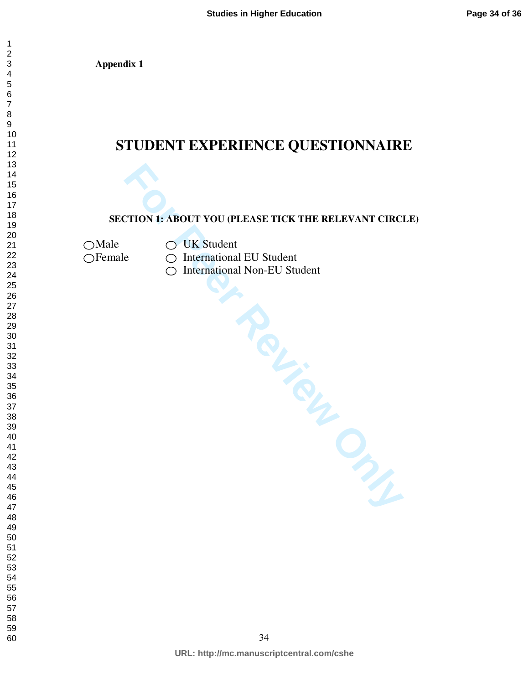**Appendix 1** 

# **STUDENT EXPERIENCE QUESTIONNAIRE**

# **SECTION 1: ABOUT YOU (PLEASE TICK THE RELEVANT CIRCLE)**

 $\bigcirc$  Male  $\bigcirc$  UK Student

 $\bigcirc$  International EU Student

Female C International EU Student<br>
C International Non-EU Student<br>
Party of the Concept of the Concept of the Concept of the Concept of the Concept of Concept of the Concept of Concept of Concept of Concept of Concept of C ◯ International Non-EU Student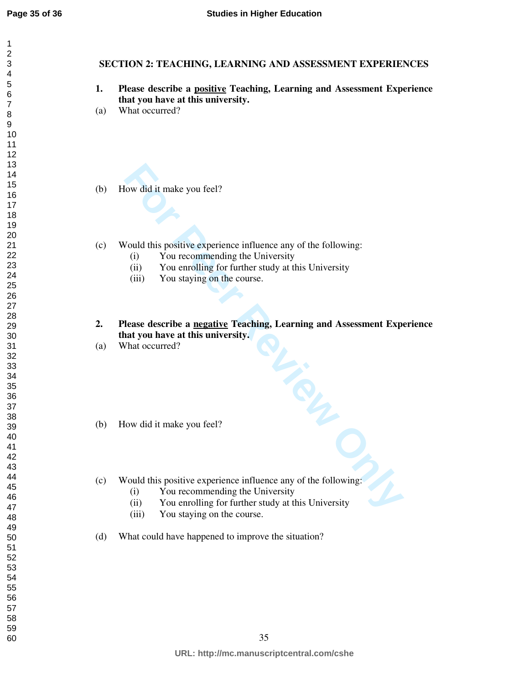# **SECTION 2: TEACHING, LEARNING AND ASSESSMENT EXPERIENCES**

- **1. Please describe a positive Teaching, Learning and Assessment Experience that you have at this university.**
- (a) What occurred?
- (b) How did it make you feel?
- (c) Would this positive experience influence any of the following:
	- (i) You recommending the University
	- (ii) You enrolling for further study at this University
	- (iii) You staying on the course.
- For Controllation Southern Controllation Scheme Controllation Scheme Controllation Scheme Controllation Scheme Controllation Scheme Controllation Scheme Controllation Scheme Controllation Scheme Controllation Scheme Contro **2. Please describe a negative Teaching, Learning and Assessment Experience that you have at this university.**
- (a) What occurred?
- (b) How did it make you feel?
- (c) Would this positive experience influence any of the following:
	- (i) You recommending the University
	- (ii) You enrolling for further study at this University
	- (iii) You staying on the course.
- (d) What could have happened to improve the situation?